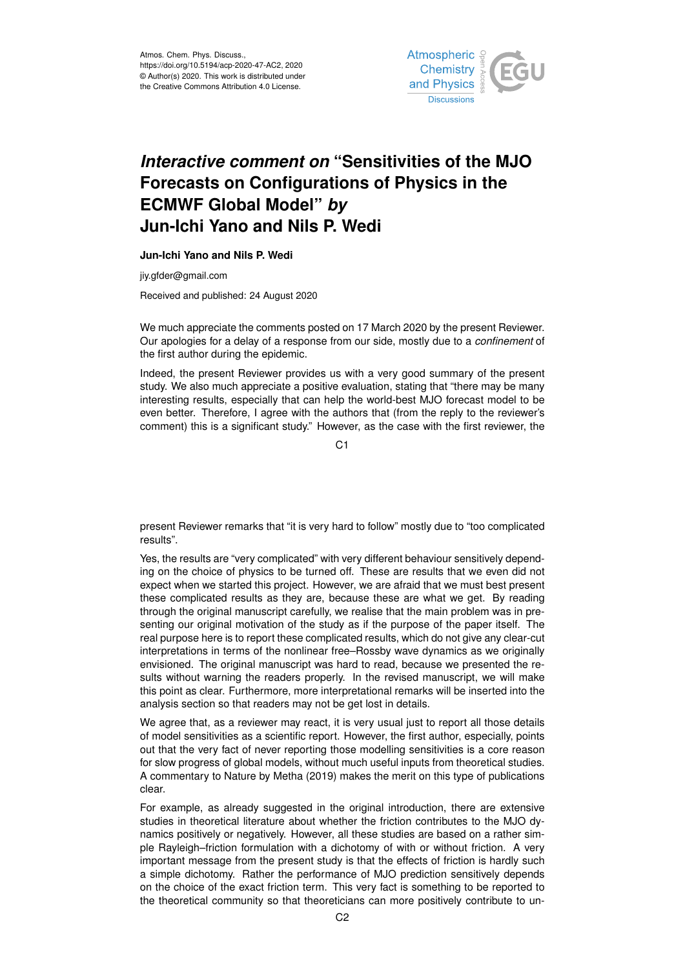

## *Interactive comment on* **"Sensitivities of the MJO Forecasts on Configurations of Physics in the ECMWF Global Model"** *by* **Jun-Ichi Yano and Nils P. Wedi**

## **Jun-Ichi Yano and Nils P. Wedi**

jiy.gfder@gmail.com

Received and published: 24 August 2020

We much appreciate the comments posted on 17 March 2020 by the present Reviewer. Our apologies for a delay of a response from our side, mostly due to a *confinement* of the first author during the epidemic.

Indeed, the present Reviewer provides us with a very good summary of the present study. We also much appreciate a positive evaluation, stating that "there may be many interesting results, especially that can help the world-best MJO forecast model to be even better. Therefore, I agree with the authors that (from the reply to the reviewer's comment) this is a significant study." However, as the case with the first reviewer, the

C<sub>1</sub>

present Reviewer remarks that "it is very hard to follow" mostly due to "too complicated results".

Yes, the results are "very complicated" with very different behaviour sensitively depending on the choice of physics to be turned off. These are results that we even did not expect when we started this project. However, we are afraid that we must best present these complicated results as they are, because these are what we get. By reading through the original manuscript carefully, we realise that the main problem was in presenting our original motivation of the study as if the purpose of the paper itself. The real purpose here is to report these complicated results, which do not give any clear-cut interpretations in terms of the nonlinear free–Rossby wave dynamics as we originally envisioned. The original manuscript was hard to read, because we presented the results without warning the readers properly. In the revised manuscript, we will make this point as clear. Furthermore, more interpretational remarks will be inserted into the analysis section so that readers may not be get lost in details.

We agree that, as a reviewer may react, it is very usual just to report all those details of model sensitivities as a scientific report. However, the first author, especially, points out that the very fact of never reporting those modelling sensitivities is a core reason for slow progress of global models, without much useful inputs from theoretical studies. A commentary to Nature by Metha (2019) makes the merit on this type of publications clear.

For example, as already suggested in the original introduction, there are extensive studies in theoretical literature about whether the friction contributes to the MJO dynamics positively or negatively. However, all these studies are based on a rather simple Rayleigh–friction formulation with a dichotomy of with or without friction. A very important message from the present study is that the effects of friction is hardly such a simple dichotomy. Rather the performance of MJO prediction sensitively depends on the choice of the exact friction term. This very fact is something to be reported to the theoretical community so that theoreticians can more positively contribute to un